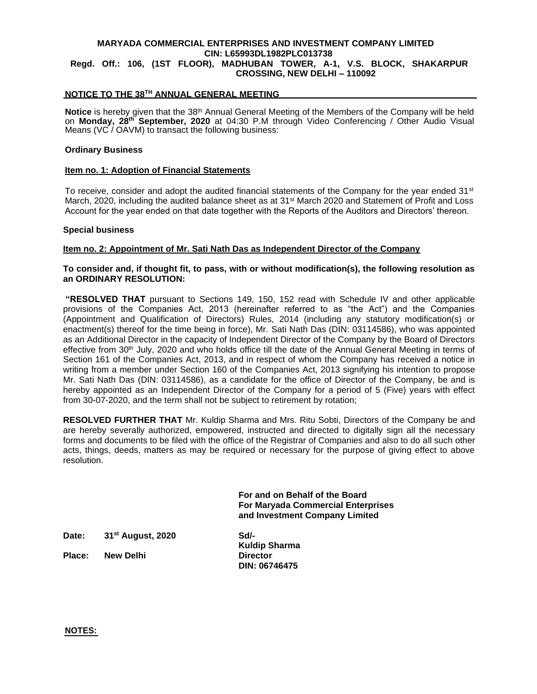# **MARYADA COMMERCIAL ENTERPRISES AND INVESTMENT COMPANY LIMITED CIN: L65993DL1982PLC013738**

# **Regd. Off.: 106, (1ST FLOOR), MADHUBAN TOWER, A-1, V.S. BLOCK, SHAKARPUR CROSSING, NEW DELHI – 110092**

## **NOTICE TO THE 38TH ANNUAL GENERAL MEETING**

**Notice** is hereby given that the 38<sup>th</sup> Annual General Meeting of the Members of the Company will be held on **Monday, 28th September, 2020** at 04:30 P.M through Video Conferencing / Other Audio Visual Means (VC $\prime$  OAVM) to transact the following business:

#### **Ordinary Business**

#### **Item no. 1: Adoption of Financial Statements**

To receive, consider and adopt the audited financial statements of the Company for the year ended 31<sup>st</sup> March, 2020, including the audited balance sheet as at 31<sup>st</sup> March 2020 and Statement of Profit and Loss Account for the year ended on that date together with the Reports of the Auditors and Directors' thereon.

#### **Special business**

## **Item no. 2: Appointment of Mr. Sati Nath Das as Independent Director of the Company**

## **To consider and, if thought fit, to pass, with or without modification(s), the following resolution as an ORDINARY RESOLUTION:**

**"RESOLVED THAT** pursuant to Sections 149, 150, 152 read with Schedule IV and other applicable provisions of the Companies Act, 2013 (hereinafter referred to as "the Act") and the Companies (Appointment and Qualification of Directors) Rules, 2014 (including any statutory modification(s) or enactment(s) thereof for the time being in force), Mr. Sati Nath Das (DIN: 03114586), who was appointed as an Additional Director in the capacity of Independent Director of the Company by the Board of Directors effective from 30<sup>th</sup> July, 2020 and who holds office till the date of the Annual General Meeting in terms of Section 161 of the Companies Act, 2013, and in respect of whom the Company has received a notice in writing from a member under Section 160 of the Companies Act, 2013 signifying his intention to propose Mr. Sati Nath Das (DIN: 03114586), as a candidate for the office of Director of the Company, be and is hereby appointed as an Independent Director of the Company for a period of 5 (Five) years with effect from 30-07-2020, and the term shall not be subject to retirement by rotation;

**RESOLVED FURTHER THAT** Mr. Kuldip Sharma and Mrs. Ritu Sobti, Directors of the Company be and are hereby severally authorized, empowered, instructed and directed to digitally sign all the necessary forms and documents to be filed with the office of the Registrar of Companies and also to do all such other acts, things, deeds, matters as may be required or necessary for the purpose of giving effect to above resolution.

> **For and on Behalf of the Board For Maryada Commercial Enterprises and Investment Company Limited**

**Date: 31st August, 2020 Sd/-**

**Place: New Delhi Director** 

**Kuldip Sharma DIN: 06746475**

**NOTES:**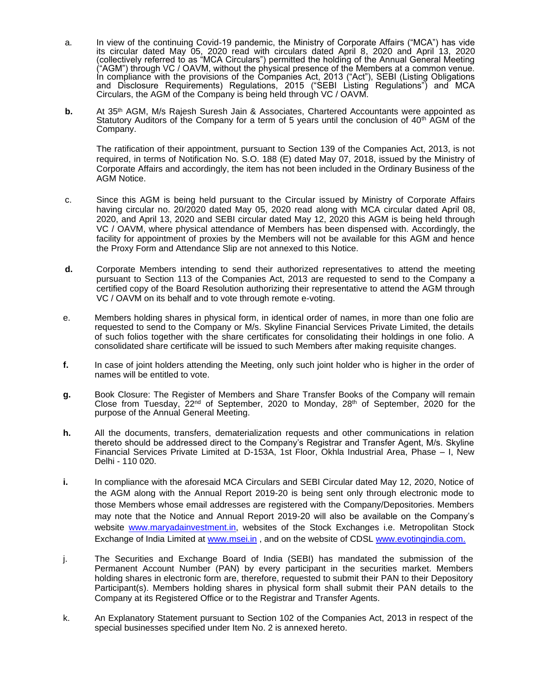- a. In view of the continuing Covid-19 pandemic, the Ministry of Corporate Affairs ("MCA") has vide its circular dated May 05, 2020 read with circulars dated April 8, 2020 and April 13, 2020 (collectively referred to as "MCA Circulars") permitted the holding of the Annual General Meeting ("AGM") through VC / OAVM, without the physical presence of the Members at a common venue. In compliance with the provisions of the Companies Act, 2013 ("Act"), SEBI (Listing Obligations and Disclosure Requirements) Regulations, 2015 ("SEBI Listing Regulations") and MCA Circulars, the AGM of the Company is being held through VC / OAVM.
- **b.** At 35<sup>th</sup> AGM, M/s Rajesh Suresh Jain & Associates, Chartered Accountants were appointed as Statutory Auditors of the Company for a term of 5 years until the conclusion of  $40<sup>th</sup>$  AGM of the Company.

The ratification of their appointment, pursuant to Section 139 of the Companies Act, 2013, is not required, in terms of Notification No. S.O. 188 (E) dated May 07, 2018, issued by the Ministry of Corporate Affairs and accordingly, the item has not been included in the Ordinary Business of the AGM Notice.

- c. Since this AGM is being held pursuant to the Circular issued by Ministry of Corporate Affairs having circular no. 20/2020 dated May 05, 2020 read along with MCA circular dated April 08, 2020, and April 13, 2020 and SEBI circular dated May 12, 2020 this AGM is being held through VC / OAVM, where physical attendance of Members has been dispensed with. Accordingly, the facility for appointment of proxies by the Members will not be available for this AGM and hence the Proxy Form and Attendance Slip are not annexed to this Notice.
- **d.** Corporate Members intending to send their authorized representatives to attend the meeting pursuant to Section 113 of the Companies Act, 2013 are requested to send to the Company a certified copy of the Board Resolution authorizing their representative to attend the AGM through VC / OAVM on its behalf and to vote through remote e-voting.
- e. Members holding shares in physical form, in identical order of names, in more than one folio are requested to send to the Company or M/s. Skyline Financial Services Private Limited, the details of such folios together with the share certificates for consolidating their holdings in one folio. A consolidated share certificate will be issued to such Members after making requisite changes.
- **f.** In case of joint holders attending the Meeting, only such joint holder who is higher in the order of names will be entitled to vote.
- **g.** Book Closure: The Register of Members and Share Transfer Books of the Company will remain Close from Tuesday,  $22^{nd}$  of September, 2020 to Monday,  $28^{th}$  of September, 2020 for the purpose of the Annual General Meeting.
- **h.** All the documents, transfers, dematerialization requests and other communications in relation thereto should be addressed direct to the Company's Registrar and Transfer Agent, M/s. Skyline Financial Services Private Limited at D-153A, 1st Floor, Okhla Industrial Area, Phase – I, New Delhi - 110 020.
- **i.** In compliance with the aforesaid MCA Circulars and SEBI Circular dated May 12, 2020, Notice of the AGM along with the Annual Report 2019-20 is being sent only through electronic mode to those Members whose email addresses are registered with the Company/Depositories. Members may note that the Notice and Annual Report 2019-20 will also be available on the Company's website [www.maryadainvestment.in,](http://www.maryadainvestment.in/) websites of the Stock Exchanges i.e. Metropolitan Stock Exchange of India Limited at [www.msei.in](http://www.msei.in/) , and on the website of CDSL [www.evotingindia.com.](http://www.evotingindia.com/)
- j. The Securities and Exchange Board of India (SEBI) has mandated the submission of the Permanent Account Number (PAN) by every participant in the securities market. Members holding shares in electronic form are, therefore, requested to submit their PAN to their Depository Participant(s). Members holding shares in physical form shall submit their PAN details to the Company at its Registered Office or to the Registrar and Transfer Agents.
- k. An Explanatory Statement pursuant to Section 102 of the Companies Act, 2013 in respect of the special businesses specified under Item No. 2 is annexed hereto.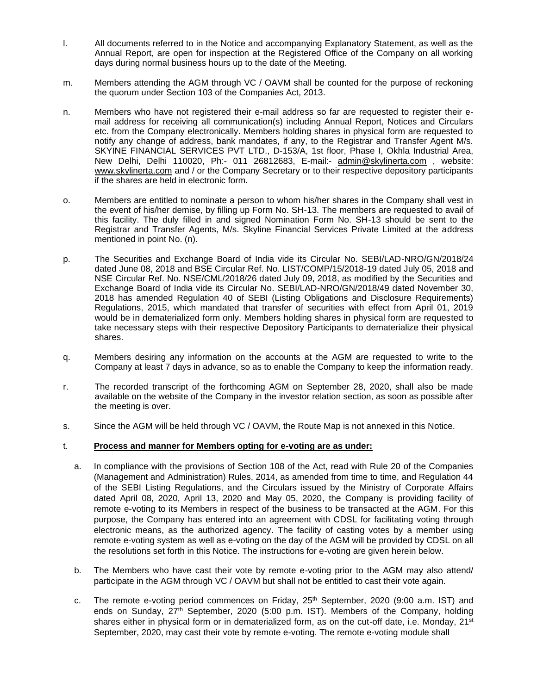- l. All documents referred to in the Notice and accompanying Explanatory Statement, as well as the Annual Report, are open for inspection at the Registered Office of the Company on all working days during normal business hours up to the date of the Meeting.
- m. Members attending the AGM through VC / OAVM shall be counted for the purpose of reckoning the quorum under Section 103 of the Companies Act, 2013.
- n. Members who have not registered their e-mail address so far are requested to register their email address for receiving all communication(s) including Annual Report, Notices and Circulars etc. from the Company electronically. Members holding shares in physical form are requested to notify any change of address, bank mandates, if any, to the Registrar and Transfer Agent M/s. SKYINE FINANCIAL SERVICES PVT LTD., D-153/A, 1st floor, Phase I, Okhla Industrial Area, New Delhi, Delhi 110020, Ph:- 011 26812683, E-mail:- [admin@skylinerta.com](mailto:admin@skylinerta.com) , website: [www.skylinerta.com](http://www.skylinerta.com/) and / or the Company Secretary or to their respective depository participants if the shares are held in electronic form.
- o. Members are entitled to nominate a person to whom his/her shares in the Company shall vest in the event of his/her demise, by filling up Form No. SH-13. The members are requested to avail of this facility. The duly filled in and signed Nomination Form No. SH-13 should be sent to the Registrar and Transfer Agents, M/s. Skyline Financial Services Private Limited at the address mentioned in point No. (n).
- p. The Securities and Exchange Board of India vide its Circular No. SEBI/LAD-NRO/GN/2018/24 dated June 08, 2018 and BSE Circular Ref. No. LIST/COMP/15/2018-19 dated July 05, 2018 and NSE Circular Ref. No. NSE/CML/2018/26 dated July 09, 2018, as modified by the Securities and Exchange Board of India vide its Circular No. SEBI/LAD-NRO/GN/2018/49 dated November 30, 2018 has amended Regulation 40 of SEBI (Listing Obligations and Disclosure Requirements) Regulations, 2015, which mandated that transfer of securities with effect from April 01, 2019 would be in dematerialized form only. Members holding shares in physical form are requested to take necessary steps with their respective Depository Participants to dematerialize their physical shares.
- q. Members desiring any information on the accounts at the AGM are requested to write to the Company at least 7 days in advance, so as to enable the Company to keep the information ready.
- r. The recorded transcript of the forthcoming AGM on September 28, 2020, shall also be made available on the website of the Company in the investor relation section, as soon as possible after the meeting is over.
- s. Since the AGM will be held through VC / OAVM, the Route Map is not annexed in this Notice.

## t. **Process and manner for Members opting for e-voting are as under:**

- a. In compliance with the provisions of Section 108 of the Act, read with Rule 20 of the Companies (Management and Administration) Rules, 2014, as amended from time to time, and Regulation 44 of the SEBI Listing Regulations, and the Circulars issued by the Ministry of Corporate Affairs dated April 08, 2020, April 13, 2020 and May 05, 2020, the Company is providing facility of remote e-voting to its Members in respect of the business to be transacted at the AGM. For this purpose, the Company has entered into an agreement with CDSL for facilitating voting through electronic means, as the authorized agency. The facility of casting votes by a member using remote e-voting system as well as e-voting on the day of the AGM will be provided by CDSL on all the resolutions set forth in this Notice. The instructions for e-voting are given herein below.
- b. The Members who have cast their vote by remote e-voting prior to the AGM may also attend/ participate in the AGM through VC / OAVM but shall not be entitled to cast their vote again.
- c. The remote e-voting period commences on Friday,  $25<sup>th</sup>$  September, 2020 (9:00 a.m. IST) and ends on Sunday, 27<sup>th</sup> September, 2020 (5:00 p.m. IST). Members of the Company, holding shares either in physical form or in dematerialized form, as on the cut-off date, i.e. Monday, 21<sup>st</sup> September, 2020, may cast their vote by remote e-voting. The remote e-voting module shall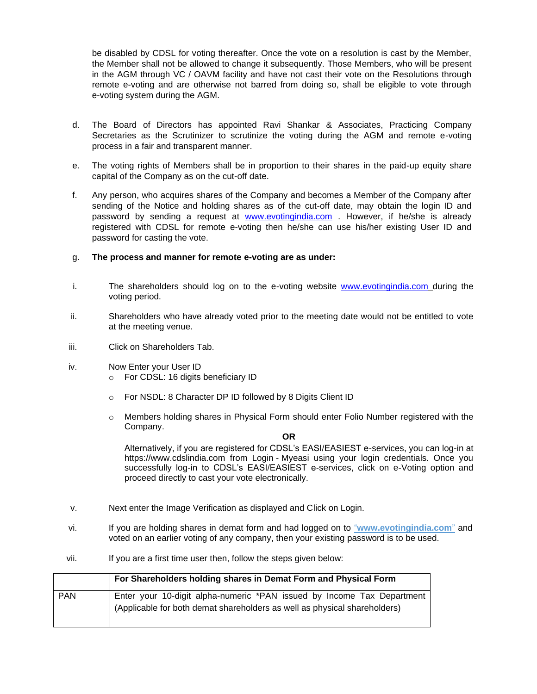be disabled by CDSL for voting thereafter. Once the vote on a resolution is cast by the Member, the Member shall not be allowed to change it subsequently. Those Members, who will be present in the AGM through VC / OAVM facility and have not cast their vote on the Resolutions through remote e-voting and are otherwise not barred from doing so, shall be eligible to vote through e-voting system during the AGM.

- d. The Board of Directors has appointed Ravi Shankar & Associates, Practicing Company Secretaries as the Scrutinizer to scrutinize the voting during the AGM and remote e-voting process in a fair and transparent manner.
- e. The voting rights of Members shall be in proportion to their shares in the paid-up equity share capital of the Company as on the cut-off date.
- f. Any person, who acquires shares of the Company and becomes a Member of the Company after sending of the Notice and holding shares as of the cut-off date, may obtain the login ID and password by sending a request at **[www.evotingindia.com](http://www.evotingindia.com/)** . However, if he/she is already registered with CDSL for remote e-voting then he/she can use his/her existing User ID and password for casting the vote.

## g. **The process and manner for remote e-voting are as under:**

- i. The shareholders should log on to the e-voting website [www.evotingindia.com](http://www.evotingindia.com/) during the voting period.
- ii. Shareholders who have already voted prior to the meeting date would not be entitled to vote at the meeting venue.
- iii. Click on Shareholders Tab.
- iv. Now Enter your User ID
	- o For CDSL: 16 digits beneficiary ID
	- o For NSDL: 8 Character DP ID followed by 8 Digits Client ID
	- o Members holding shares in Physical Form should enter Folio Number registered with the Company.

**OR**

Alternatively, if you are registered for CDSL's EASI/EASIEST e-services, you can log-in at [https://www.cdslindia.com](https://www.cdslindia.com/) from Login - [Myeasi](file:///C:/Users/harshika/AppData/Roaming/Microsoft/Word/Login - Myeasi) using your login credentials. Once you successfully log-in to CDSL's EASI/EASIEST e-services, click on e-Voting option and proceed directly to cast your vote electronically.

- v. Next enter the Image Verification as displayed and Click on Login.
- vi. If you are holding shares in demat form and had logged on to "**www.evotingindia.com**" and voted on an earlier voting of any company, then your existing password is to be used.
- vii. If you are a first time user then, follow the steps given below:

|            | For Shareholders holding shares in Demat Form and Physical Form                                                                                     |  |  |  |
|------------|-----------------------------------------------------------------------------------------------------------------------------------------------------|--|--|--|
| <b>PAN</b> | Enter your 10-digit alpha-numeric *PAN issued by Income Tax Department<br>(Applicable for both demat shareholders as well as physical shareholders) |  |  |  |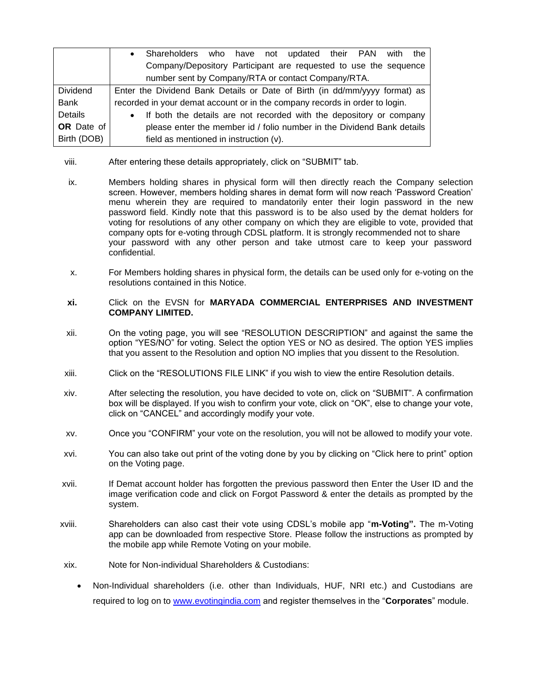|                   | Shareholders who have not updated their PAN<br>with the<br>$\bullet$             |  |  |  |  |  |
|-------------------|----------------------------------------------------------------------------------|--|--|--|--|--|
|                   | Company/Depository Participant are requested to use the sequence                 |  |  |  |  |  |
|                   | number sent by Company/RTA or contact Company/RTA.                               |  |  |  |  |  |
| <b>Dividend</b>   | Enter the Dividend Bank Details or Date of Birth (in dd/mm/yyyy format) as       |  |  |  |  |  |
| Bank              | recorded in your demat account or in the company records in order to login.      |  |  |  |  |  |
| Details           | If both the details are not recorded with the depository or company<br>$\bullet$ |  |  |  |  |  |
| <b>OR</b> Date of | please enter the member id / folio number in the Dividend Bank details           |  |  |  |  |  |
| Birth (DOB)       | field as mentioned in instruction (v).                                           |  |  |  |  |  |

- viii. After entering these details appropriately, click on "SUBMIT" tab.
- ix. Members holding shares in physical form will then directly reach the Company selection screen. However, members holding shares in demat form will now reach 'Password Creation' menu wherein they are required to mandatorily enter their login password in the new password field. Kindly note that this password is to be also used by the demat holders for voting for resolutions of any other company on which they are eligible to vote, provided that company opts for e-voting through CDSL platform. It is strongly recommended not to share your password with any other person and take utmost care to keep your password confidential.
- x. For Members holding shares in physical form, the details can be used only for e-voting on the resolutions contained in this Notice.
- **xi.** Click on the EVSN for **MARYADA COMMERCIAL ENTERPRISES AND INVESTMENT COMPANY LIMITED.**
- xii. On the voting page, you will see "RESOLUTION DESCRIPTION" and against the same the option "YES/NO" for voting. Select the option YES or NO as desired. The option YES implies that you assent to the Resolution and option NO implies that you dissent to the Resolution.
- xiii. Click on the "RESOLUTIONS FILE LINK" if you wish to view the entire Resolution details.
- xiv. After selecting the resolution, you have decided to vote on, click on "SUBMIT". A confirmation box will be displayed. If you wish to confirm your vote, click on "OK", else to change your vote, click on "CANCEL" and accordingly modify your vote.
- xv. Once you "CONFIRM" your vote on the resolution, you will not be allowed to modify your vote.
- xvi. You can also take out print of the voting done by you by clicking on "Click here to print" option on the Voting page.
- xvii. If Demat account holder has forgotten the previous password then Enter the User ID and the image verification code and click on Forgot Password & enter the details as prompted by the system.
- xviii. Shareholders can also cast their vote using CDSL's mobile app "**m-Voting".** The m-Voting app can be downloaded from respective Store. Please follow the instructions as prompted by the mobile app while Remote Voting on your mobile.
- xix. Note for Non-individual Shareholders & Custodians:
	- Non-Individual shareholders (i.e. other than Individuals, HUF, NRI etc.) and Custodians are required to log on to [www.evotingindia.com](http://www.evotingindia.com/) and register themselves in the "**Corporates**" module.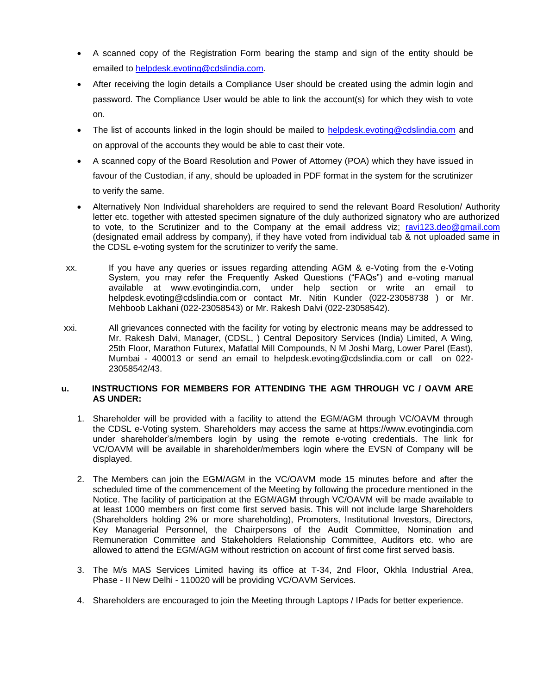- A scanned copy of the Registration Form bearing the stamp and sign of the entity should be emailed to [helpdesk.evoting@cdslindia.com.](mailto:helpdesk.evoting@cdslindia.com)
- After receiving the login details a Compliance User should be created using the admin login and password. The Compliance User would be able to link the account(s) for which they wish to vote on.
- The list of accounts linked in the login should be mailed to [helpdesk.evoting@cdslindia.com](mailto:helpdesk.evoting@cdslindia.com) and on approval of the accounts they would be able to cast their vote.
- A scanned copy of the Board Resolution and Power of Attorney (POA) which they have issued in favour of the Custodian, if any, should be uploaded in PDF format in the system for the scrutinizer to verify the same.
- Alternatively Non Individual shareholders are required to send the relevant Board Resolution/ Authority letter etc. together with attested specimen signature of the duly authorized signatory who are authorized to vote, to the Scrutinizer and to the Company at the email address viz; [ravi123.deo@gmail.com](mailto:ravi123.deo@gmail.com) (designated email address by company), if they have voted from individual tab & not uploaded same in the CDSL e-voting system for the scrutinizer to verify the same.
- xx. If you have any queries or issues regarding attending AGM & e-Voting from the e-Voting System, you may refer the Frequently Asked Questions ("FAQs") and e-voting manual available at [www.evotingindia.com,](http://www.evotingindia.com/) under help section or write an email to [helpdesk.evoting@cdslindia.com](mailto:helpdesk.evoting@cdslindia.com) or contact Mr. Nitin Kunder (022-23058738 ) or Mr. Mehboob Lakhani (022-23058543) or Mr. Rakesh Dalvi (022-23058542).
- xxi. All grievances connected with the facility for voting by electronic means may be addressed to Mr. Rakesh Dalvi, Manager, (CDSL, ) Central Depository Services (India) Limited, A Wing, 25th Floor, Marathon Futurex, Mafatlal Mill Compounds, N M Joshi Marg, Lower Parel (East), Mumbai - 400013 or send an email to [helpdesk.evoting@cdslindia.com](mailto:helpdesk.evoting@cdslindia.com) or call on 022- 23058542/43.

# **u. INSTRUCTIONS FOR MEMBERS FOR ATTENDING THE AGM THROUGH VC / OAVM ARE AS UNDER:**

- 1. Shareholder will be provided with a facility to attend the EGM/AGM through VC/OAVM through the CDSL e-Voting system. Shareholders may access the same at https://www.evotingindia.com under shareholder's/members login by using the remote e-voting credentials. The link for VC/OAVM will be available in shareholder/members login where the EVSN of Company will be displayed.
- 2. The Members can join the EGM/AGM in the VC/OAVM mode 15 minutes before and after the scheduled time of the commencement of the Meeting by following the procedure mentioned in the Notice. The facility of participation at the EGM/AGM through VC/OAVM will be made available to at least 1000 members on first come first served basis. This will not include large Shareholders (Shareholders holding 2% or more shareholding), Promoters, Institutional Investors, Directors, Key Managerial Personnel, the Chairpersons of the Audit Committee, Nomination and Remuneration Committee and Stakeholders Relationship Committee, Auditors etc. who are allowed to attend the EGM/AGM without restriction on account of first come first served basis.
- 3. The M/s MAS Services Limited having its office at T-34, 2nd Floor, Okhla Industrial Area, Phase - II New Delhi - 110020 will be providing VC/OAVM Services.
- 4. Shareholders are encouraged to join the Meeting through Laptops / IPads for better experience.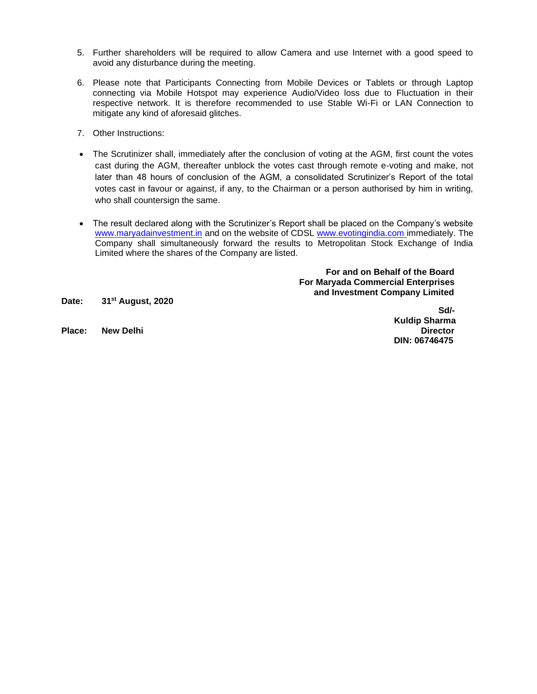- 5. Further shareholders will be required to allow Camera and use Internet with a good speed to avoid any disturbance during the meeting.
- 6. Please note that Participants Connecting from Mobile Devices or Tablets or through Laptop connecting via Mobile Hotspot may experience Audio/Video loss due to Fluctuation in their respective network. It is therefore recommended to use Stable Wi-Fi or LAN Connection to mitigate any kind of aforesaid glitches.
- 7. Other Instructions:
- The Scrutinizer shall, immediately after the conclusion of voting at the AGM, first count the votes cast during the AGM, thereafter unblock the votes cast through remote e-voting and make, not later than 48 hours of conclusion of the AGM, a consolidated Scrutinizer's Report of the total votes cast in favour or against, if any, to the Chairman or a person authorised by him in writing, who shall countersign the same.
- The result declared along with the Scrutinizer's Report shall be placed on the Company's website [www.maryadainvestment.in](http://www.maryadainvestment.in/) and on the website of CDSL [www.evotingindia.com](http://www.evotingindia.com/) immediately. The Company shall simultaneously forward the results to Metropolitan Stock Exchange of India Limited where the shares of the Company are listed.

 **For and on Behalf of the Board For Maryada Commercial Enterprises and Investment Company Limited**

**Date: 31st August, 2020**

**Place: New Delhi Director**

**Sd/- Kuldip Sharma DIN: 06746475**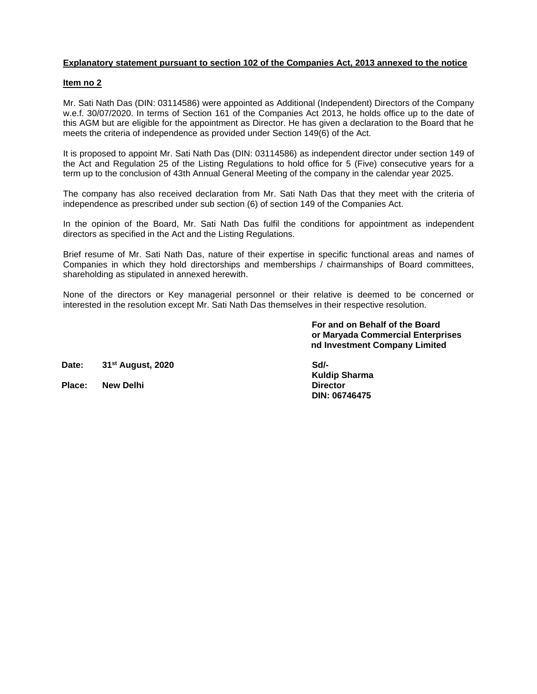# **Explanatory statement pursuant to section 102 of the Companies Act, 2013 annexed to the notice**

## **Item no 2**

Mr. Sati Nath Das (DIN: 03114586) were appointed as Additional (Independent) Directors of the Company w.e.f. 30/07/2020. In terms of Section 161 of the Companies Act 2013, he holds office up to the date of this AGM but are eligible for the appointment as Director. He has given a declaration to the Board that he meets the criteria of independence as provided under Section 149(6) of the Act.

It is proposed to appoint Mr. Sati Nath Das (DIN: 03114586) as independent director under section 149 of the Act and Regulation 25 of the Listing Regulations to hold office for 5 (Five) consecutive years for a term up to the conclusion of 43th Annual General Meeting of the company in the calendar year 2025.

The company has also received declaration from Mr. Sati Nath Das that they meet with the criteria of independence as prescribed under sub section (6) of section 149 of the Companies Act.

In the opinion of the Board, Mr. Sati Nath Das fulfil the conditions for appointment as independent directors as specified in the Act and the Listing Regulations.

Brief resume of Mr. Sati Nath Das, nature of their expertise in specific functional areas and names of Companies in which they hold directorships and memberships / chairmanships of Board committees, shareholding as stipulated in annexed herewith.

None of the directors or Key managerial personnel or their relative is deemed to be concerned or interested in the resolution except Mr. Sati Nath Das themselves in their respective resolution.

> **For and on Behalf of the Board For Maryada Commercial Enterprises and Investment Company Limited**

**Date: 31st August, 2020**

**Place: New Delhi** 

**SSd/- Kuldip Sharma DIN: 06746475**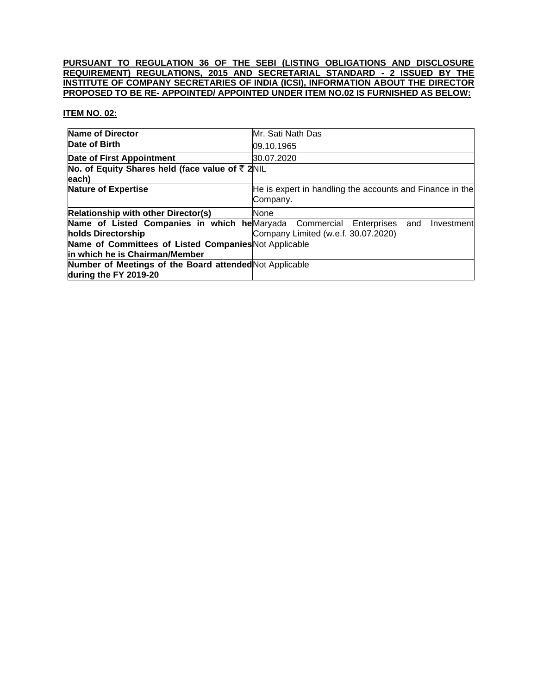## **PURSUANT TO REGULATION 36 OF THE SEBI (LISTING OBLIGATIONS AND DISCLOSURE REQUIREMENT) REGULATIONS, 2015 AND SECRETARIAL STANDARD - 2 ISSUED BY THE INSTITUTE OF COMPANY SECRETARIES OF INDIA (ICSI), INFORMATION ABOUT THE DIRECTOR PROPOSED TO BE RE- APPOINTED/ APPOINTED UNDER ITEM NO.02 IS FURNISHED AS BELOW:**

# **ITEM NO. 02:**

| <b>Name of Director</b>                                                                   | Mr. Sati Nath Das                                                    |
|-------------------------------------------------------------------------------------------|----------------------------------------------------------------------|
| Date of Birth                                                                             | 09.10.1965                                                           |
| Date of First Appointment                                                                 | 30.07.2020                                                           |
| No. of Equity Shares held (face value of ₹ 2NIL<br>each)                                  |                                                                      |
| <b>Nature of Expertise</b>                                                                | He is expert in handling the accounts and Finance in the<br>Company. |
| <b>Relationship with other Director(s)</b>                                                | None                                                                 |
| Name of Listed Companies in which he Maryada Commercial Enterprises<br>holds Directorship | and<br>Investment<br>Company Limited (w.e.f. 30.07.2020)             |
| Name of Committees of Listed Companies Not Applicable<br>in which he is Chairman/Member   |                                                                      |
| Number of Meetings of the Board attended Not Applicable<br>during the FY 2019-20          |                                                                      |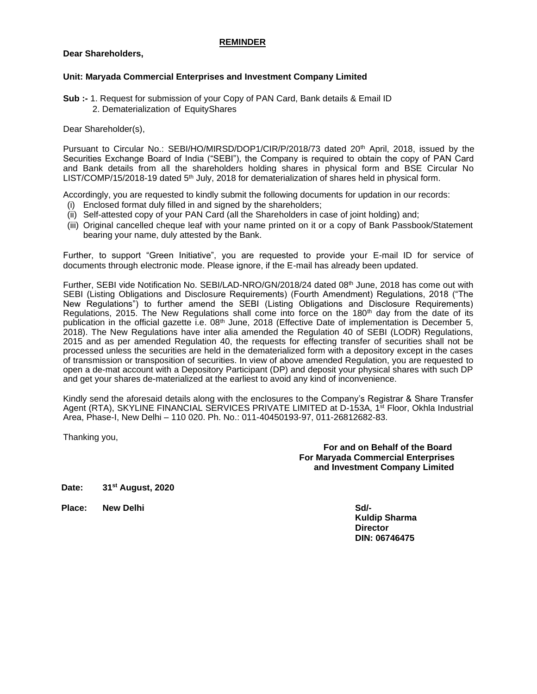## **REMINDER**

## **Dear Shareholders,**

## **Unit: Maryada Commercial Enterprises and Investment Company Limited**

**Sub :-** 1. Request for submission of your Copy of PAN Card, Bank details & Email ID 2. Dematerialization of EquityShares

Dear Shareholder(s),

Pursuant to Circular No.: SEBI/HO/MIRSD/DOP1/CIR/P/2018/73 dated 20<sup>th</sup> April, 2018, issued by the Securities Exchange Board of India ("SEBI"), the Company is required to obtain the copy of PAN Card and Bank details from all the shareholders holding shares in physical form and BSE Circular No LIST/COMP/15/2018-19 dated 5<sup>th</sup> July, 2018 for dematerialization of shares held in physical form.

Accordingly, you are requested to kindly submit the following documents for updation in our records:

- (i) Enclosed format duly filled in and signed by the shareholders;
- (ii) Self-attested copy of your PAN Card (all the Shareholders in case of joint holding) and;
- (iii) Original cancelled cheque leaf with your name printed on it or a copy of Bank Passbook/Statement bearing your name, duly attested by the Bank.

Further, to support "Green Initiative", you are requested to provide your E-mail ID for service of documents through electronic mode. Please ignore, if the E-mail has already been updated.

Further, SEBI vide Notification No. SEBI/LAD-NRO/GN/2018/24 dated 08<sup>th</sup> June, 2018 has come out with SEBI (Listing Obligations and Disclosure Requirements) (Fourth Amendment) Regulations, 2018 ("The New Regulations") to further amend the SEBI (Listing Obligations and Disclosure Requirements) Regulations, 2015. The New Regulations shall come into force on the 180<sup>th</sup> day from the date of its publication in the official gazette i.e. 08<sup>th</sup> June, 2018 (Effective Date of implementation is December 5, 2018). The New Regulations have inter alia amended the Regulation 40 of SEBI (LODR) Regulations, 2015 and as per amended Regulation 40, the requests for effecting transfer of securities shall not be processed unless the securities are held in the dematerialized form with a depository except in the cases of transmission or transposition of securities. In view of above amended Regulation, you are requested to open a de-mat account with a Depository Participant (DP) and deposit your physical shares with such DP and get your shares de-materialized at the earliest to avoid any kind of inconvenience.

Kindly send the aforesaid details along with the enclosures to the Company's Registrar & Share Transfer Agent (RTA), SKYLINE FINANCIAL SERVICES PRIVATE LIMITED at D-153A, 1<sup>st</sup> Floor, Okhla Industrial Area, Phase-I, New Delhi – 110 020. Ph. No.: 011-40450193-97, 011-26812682-83.

Thanking you,

 **For and on Behalf of the Board For Maryada Commercial Enterprises and Investment Company Limited**

**Date: 31st August, 2020**

**Place: New Delhi Sd/-**

**Kuldip Sharma Director DIN: 06746475**